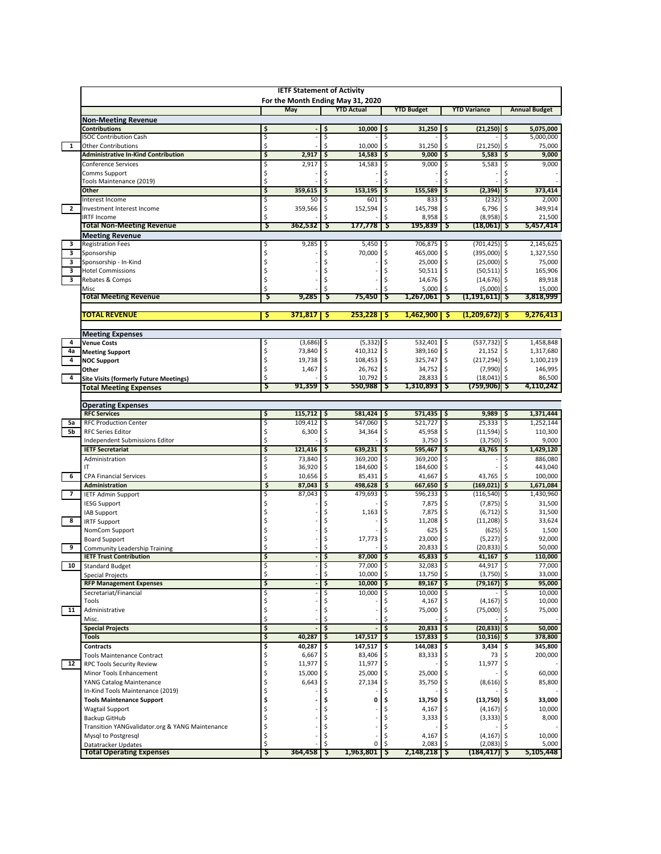|                          |                                                                       |          | <b>IETF Statement of Activity</b> |          | For the Month Ending May 31, 2020 |          |                    |          |                            |          |                        |
|--------------------------|-----------------------------------------------------------------------|----------|-----------------------------------|----------|-----------------------------------|----------|--------------------|----------|----------------------------|----------|------------------------|
|                          |                                                                       |          | May                               |          | <b>YTD Actual</b>                 |          | <b>YTD Budget</b>  |          | <b>YTD Variance</b>        |          | <b>Annual Budget</b>   |
|                          | <b>Non-Meeting Revenue</b>                                            |          |                                   |          |                                   |          |                    |          |                            |          |                        |
|                          | <b>Contributions</b><br><b>ISOC Contribution Cash</b>                 | \$<br>\$ |                                   | \$<br>Ś  | 10,000                            | \$<br>\$ | 31,250             | \$<br>Ś  | $(21,250)$ \$              | \$       | 5,075,000<br>5,000,000 |
| $\mathbf{1}$             | <b>Other Contributions</b>                                            | Ś        |                                   | Ś        | 10,000                            | Ś        | 31,250             | Ś        | (21, 250)                  | \$       | 75,000                 |
|                          | <b>Administrative In-Kind Contribution</b>                            | \$       | 2,917                             | \$       | 14,583                            | \$       | 9,000              | \$       | 5,583                      | \$       | 9,000                  |
|                          | Conference Services                                                   |          | 2,917                             |          | 14,583                            |          | 9,000              | Ś        | 5,583                      |          | 9,000                  |
|                          | Comms Support                                                         | \$       |                                   | Ś        |                                   | Ś        |                    | Ś        |                            |          |                        |
|                          | Tools Maintenance (2019)                                              | \$       | 359.615                           |          |                                   |          |                    |          |                            |          |                        |
|                          | Other<br>Interest Income                                              | \$<br>\$ | 50                                | \$<br>\$ | 153,195<br>601                    | \$<br>\$ | 155,589<br>833     | \$<br>\$ | (2, 394)<br>(232)          | \$<br>\$ | 373,414<br>2,000       |
| $\mathbf{2}$             | Investment Interest Income                                            | \$       | 359,566                           | \$       | 152,594                           | \$       | 145,798            | \$       | 6,796                      | \$       | 349,914                |
|                          | <b>IRTF Income</b>                                                    | Ś        |                                   |          |                                   |          | 8,958              | \$       | (8,958)                    | \$       | 21,500                 |
|                          | <b>Total Non-Meeting Revenue</b>                                      | 5        | 362,532                           | S        | 177,778                           | S        | 195,839            | `Ş       | (18,061) Ş                 |          | 5,457,414              |
|                          | <b>Meeting Revenue</b>                                                |          |                                   |          |                                   |          |                    |          |                            |          |                        |
| 3<br>3                   | <b>Registration Fees</b><br>Sponsorship                               |          | 9,285                             | Ş<br>Ś   | 5,450<br>70,000                   | Ş<br>\$  | 706,875<br>465,000 | Ş<br>\$  | (701, 425)<br>(395,000)    | Ş<br>\$  | 2,145,625<br>1,327,550 |
| 3                        | Sponsorship - In-Kind                                                 | Ś        |                                   |          |                                   | \$       | 25,000             | \$       | (25,000)                   | S.       | 75,000                 |
| 3                        | <b>Hotel Commissions</b>                                              |          |                                   |          |                                   | \$       | 50,511             | \$       | (50, 511)                  | \$       | 165,906                |
| 3                        | Rebates & Comps                                                       | Ś        |                                   |          |                                   | \$       | 14,676 \$          |          | $(14, 676)$ \$             |          | 89,918                 |
|                          | Misc                                                                  | Ś        |                                   |          |                                   | Ś        | 5,000              | Ś        | (5,000)                    | Ŝ        | 15,000                 |
|                          | <b>Total Meeting Revenue</b>                                          |          | 9,285                             | S        | 75,450                            | S        | 1,267,061          | S        | (1,191,611)  \$            |          | 3,818,999              |
|                          | <b>FOTAL REVENUE</b>                                                  | s        | 371.817                           | s        | 253,228                           | s        | 1,462,900          | -S       | (1, 209, 672)              | -S       | 9,276,413              |
|                          |                                                                       |          |                                   |          |                                   |          |                    |          |                            |          |                        |
|                          | <b>Meeting Expenses</b>                                               |          |                                   |          |                                   |          |                    |          |                            |          |                        |
| 4                        | <b>Venue Costs</b>                                                    |          | (3,686)                           | \$       | (5, 332)                          | \$       | 532,401            | \$       | $(537, 732)$ \$            |          | 1,458,848              |
| 4a<br>4                  | <b>Meeting Support</b>                                                | \$<br>\$ | 73,840                            | \$       | 410,312 \$<br>108,453 \$          |          | 389,160            | \$       | 21,152                     | S.       | 1,317,680              |
|                          | <b>NOC Support</b><br>Other                                           | \$       | 19,738<br>1,467                   | \$<br>\$ | 26,762                            | \$       | 325,747<br>34,752  | \$<br>Ś  | $(217, 294)$ \$<br>(7,990) | \$       | 1,100,219<br>146,995   |
| 4                        | <b>Site Visits (formerly Future Meetings)</b>                         | Ś        |                                   |          | 10.792                            | \$       | 28,833             | \$       | (18, 041)                  | \$       | 86,500                 |
|                          | <b>Total Meeting Expenses</b>                                         | S        | 91,359                            | S        | 550,988                           | S        | 1,310,893          | S        | (759,906) Ş                |          | 4,110,242              |
|                          |                                                                       |          |                                   |          |                                   |          |                    |          |                            |          |                        |
|                          | <b>Operating Expenses</b>                                             |          |                                   |          |                                   |          |                    |          |                            |          |                        |
| 5a                       | <b>RFC Services</b><br><b>RFC Production Center</b>                   | \$<br>\$ | 115,712<br>109,412                | \$<br>\$ | 581,424<br>547,060                | \$<br>\$ | 571,435<br>521,727 | \$<br>\$ | 9,989<br>25,333            | \$<br>\$ | 1,371,444<br>1,252,144 |
| 5b                       | <b>RFC Series Editor</b>                                              | \$       | 6,300                             | \$       | 34,364                            | \$       | 45,958             | \$       | (11, 594)                  | \$       | 110,300                |
|                          | Independent Submissions Editor                                        | Ś        |                                   | Ś        |                                   | Ś        | 3,750              | \$       | (3,750)                    | \$       | 9,000                  |
|                          | <b>IETF Secretariat</b>                                               | \$       | 121,416                           | \$       | 639,231                           | \$       | 595,467            | \$       | 43,765                     | \$       | 1,429,120              |
|                          | Administration                                                        | \$       | 73,840                            | Ś        | 369,200                           | \$       | 369,200            | \$       |                            | Ś        | 886,080                |
|                          | IT                                                                    | \$<br>Ś  | 36,920                            | \$       | 184,600                           | \$       | 184,600            | \$       |                            |          | 443,040                |
| 6                        | <b>CPA Financial Services</b><br><b>Administration</b>                | \$       | 10,656<br>87,043                  | \$<br>\$ | 85,431<br>498,628                 | \$<br>\$ | 41,667<br>667,650  | \$<br>\$ | 43,765<br>(169, 021)       | \$<br>\$ | 100,000<br>1,671,084   |
| $\overline{\phantom{a}}$ | <b>IETF Admin Support</b>                                             |          | 87,043                            | Ś        | 479,693                           | \$       | 596,233            | \$       | (116, 540)                 | \$       | 1,430,960              |
|                          | <b>IESG Support</b>                                                   | Ś        |                                   |          |                                   | Ś        | 7,875              | \$       | (7, 875)                   | \$       | 31,500                 |
|                          | <b>IAB Support</b>                                                    |          |                                   |          | 1,163                             | \$       | 7,875              | \$       | (6, 712)                   | \$       | 31,500                 |
| 8                        | <b>IRTF Support</b>                                                   |          |                                   |          |                                   | \$       | 11,208             | \$       | (11, 208)                  | Ş        | 33,624                 |
|                          | NomCom Support                                                        |          |                                   |          |                                   |          | 625                | Ś        | (625)                      |          | 1,500                  |
| 9                        | <b>Board Support</b><br>Community Leadership Training                 | Ś        |                                   | Ś        | 17,773                            | Ś        | 23,000<br>20,833   | Ś        | (5, 227)<br>(20, 833)      | \$       | 92,000<br>50,000       |
|                          | <b>IETF Trust Contribution</b>                                        |          |                                   | \$       | 87,000                            | \$       | 45,833             | ŝ        | 41,167                     | \$       | 110,000                |
| 10                       | Standard Budget                                                       |          |                                   |          | 77,000                            |          | 32,083             |          | 44,917                     |          | 77,000                 |
|                          | <b>Special Projects</b>                                               | \$       |                                   | \$       | 10,000 \$                         |          | 13,750 \$          |          | $(3,750)$ \$               |          | 33,000                 |
|                          | <b>RFP Management Expenses</b>                                        | \$       |                                   | \$       | 10,000                            | \$       | 89,167             | \$       | $(79, 167)$ \$             |          | 95,000                 |
|                          | Secretariat/Financial<br>Tools                                        | \$<br>\$ |                                   |          | 10,000                            | \$       | 10,000<br>4,167    |          | (4, 167)                   | \$       | 10,000<br>10,000       |
| 11                       | Administrative                                                        | \$       |                                   |          |                                   | \$       | 75,000             | \$       | (75,000)                   |          | 75,000                 |
|                          | Misc.                                                                 | Ś        |                                   |          |                                   |          |                    |          |                            |          |                        |
|                          | <b>Special Projects</b>                                               | \$       |                                   | \$       |                                   | \$       | 20,833             | \$       | $(20, 833)$ \$             |          | 50,000                 |
|                          | <b>Tools</b>                                                          | \$       | 40,287                            |          | 147,517                           | \$       | 157,833            |          | $(10, 316)$ \$             |          | 378,800                |
|                          | <b>Contracts</b>                                                      | \$<br>Ś  | 40,287                            |          | 147,517                           | \$       | 144,083            |          | 3,434                      |          | 345,800<br>200,000     |
| 12                       | <b>Tools Maintenance Contract</b><br><b>RPC Tools Security Review</b> | \$       | 6,667<br>11,977                   |          | 83,406<br>11,977                  | \$<br>\$ | 83,333             | -S<br>\$ | 73<br>11,977               |          |                        |
|                          | Minor Tools Enhancement                                               | Ś        | 15,000                            |          | 25,000                            |          | 25,000             | -\$      |                            |          | 60,000                 |
|                          | YANG Catalog Maintenance                                              |          | 6,643                             |          | 27,134                            | \$       | 35,750 \$          |          | (8,616)                    |          | 85,800                 |
|                          | In-Kind Tools Maintenance (2019)                                      |          |                                   |          |                                   |          |                    |          |                            |          |                        |
|                          | <b>Tools Maintenance Support</b>                                      |          |                                   |          | 0                                 |          | 13,750             | .\$      | $(13,750)$ \$              |          | 33,000                 |
|                          | Wagtail Support                                                       |          |                                   |          |                                   |          | 4,167              |          | (4, 167)                   |          | 10,000                 |
|                          | Backup GitHub<br>Transition YANGvalidator.org & YANG Maintenance      |          |                                   |          |                                   |          | 3,333              | -S       | (3, 333)                   |          | 8,000                  |
|                          | Mysql to Postgresql                                                   |          |                                   |          |                                   |          | 4,167              |          | $(4, 167)$ \$              |          | 10,000                 |
|                          | Datatracker Updates                                                   | Ś        |                                   |          | C                                 |          | 2,083              |          | (2,083)                    |          | 5,000                  |
|                          | <b>Total Operating Expenses</b>                                       | S        | 364,458                           | \$,      | 1,963,801                         | Ş        | $2,148,218$   \$   |          | $(184, 417)$ \$            |          | 5,105,448              |